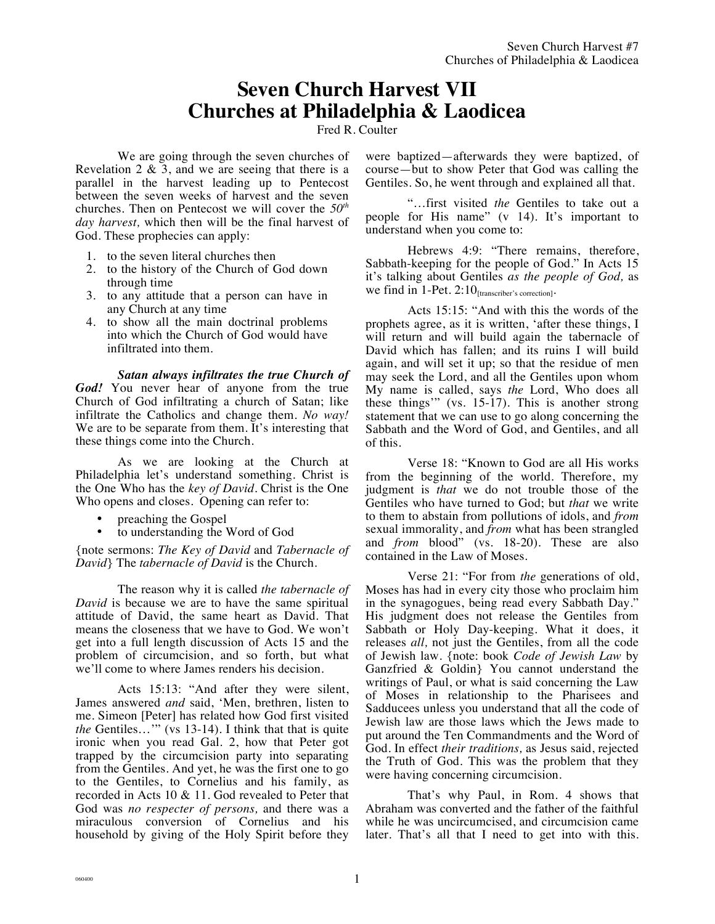# **Seven Church Harvest VII Churches at Philadelphia & Laodicea**

Fred R. Coulter

We are going through the seven churches of Revelation  $2 \& 3$ , and we are seeing that there is a parallel in the harvest leading up to Pentecost between the seven weeks of harvest and the seven churches. Then on Pentecost we will cover the *50th day harvest,* which then will be the final harvest of God. These prophecies can apply:

- 1. to the seven literal churches then
- 2. to the history of the Church of God down through time
- 3. to any attitude that a person can have in any Church at any time
- 4. to show all the main doctrinal problems into which the Church of God would have infiltrated into them.

*Satan always infiltrates the true Church of God!* You never hear of anyone from the true Church of God infiltrating a church of Satan; like infiltrate the Catholics and change them. *No way!* We are to be separate from them. It's interesting that these things come into the Church.

As we are looking at the Church at Philadelphia let's understand something. Christ is the One Who has the *key of David*. Christ is the One Who opens and closes. Opening can refer to:

- preaching the Gospel
- to understanding the Word of God

{note sermons: *The Key of David* and *Tabernacle of David*} The *tabernacle of David* is the Church.

The reason why it is called *the tabernacle of David* is because we are to have the same spiritual attitude of David, the same heart as David. That means the closeness that we have to God. We won't get into a full length discussion of Acts 15 and the problem of circumcision, and so forth, but what we'll come to where James renders his decision.

Acts 15:13: "And after they were silent, James answered *and* said, 'Men, brethren, listen to me. Simeon [Peter] has related how God first visited *the* Gentiles…'" (vs 13-14). I think that that is quite ironic when you read Gal. 2, how that Peter got trapped by the circumcision party into separating from the Gentiles. And yet, he was the first one to go to the Gentiles, to Cornelius and his family, as recorded in Acts 10 & 11. God revealed to Peter that God was *no respecter of persons,* and there was a miraculous conversion of Cornelius and his household by giving of the Holy Spirit before they were baptized—afterwards they were baptized, of course—but to show Peter that God was calling the Gentiles. So, he went through and explained all that.

"…first visited *the* Gentiles to take out a people for His name" (v 14). It's important to understand when you come to:

Hebrews 4:9: "There remains, therefore, Sabbath-keeping for the people of God." In Acts 15 it's talking about Gentiles *as the people of God,* as we find in  $1$ -Pet.  $2:10$ <sub>[transcriber's correction]</sub>.

Acts 15:15: "And with this the words of the prophets agree, as it is written, 'after these things, I will return and will build again the tabernacle of David which has fallen; and its ruins I will build again, and will set it up; so that the residue of men may seek the Lord, and all the Gentiles upon whom My name is called, says *the* Lord, Who does all these things'" (vs. 15-17). This is another strong statement that we can use to go along concerning the Sabbath and the Word of God, and Gentiles, and all of this.

Verse 18: "Known to God are all His works from the beginning of the world. Therefore, my judgment is *that* we do not trouble those of the Gentiles who have turned to God; but *that* we write to them to abstain from pollutions of idols, and *from* sexual immorality, and *from* what has been strangled and *from* blood" (vs. 18-20). These are also contained in the Law of Moses.

Verse 21: "For from *the* generations of old, Moses has had in every city those who proclaim him in the synagogues, being read every Sabbath Day." His judgment does not release the Gentiles from Sabbath or Holy Day-keeping. What it does, it releases *all,* not just the Gentiles, from all the code of Jewish law. {note: book *Code of Jewish Law* by Ganzfried & Goldin} You cannot understand the writings of Paul, or what is said concerning the Law of Moses in relationship to the Pharisees and Sadducees unless you understand that all the code of Jewish law are those laws which the Jews made to put around the Ten Commandments and the Word of God. In effect *their traditions,* as Jesus said, rejected the Truth of God. This was the problem that they were having concerning circumcision.

That's why Paul, in Rom. 4 shows that Abraham was converted and the father of the faithful while he was uncircumcised, and circumcision came later. That's all that I need to get into with this.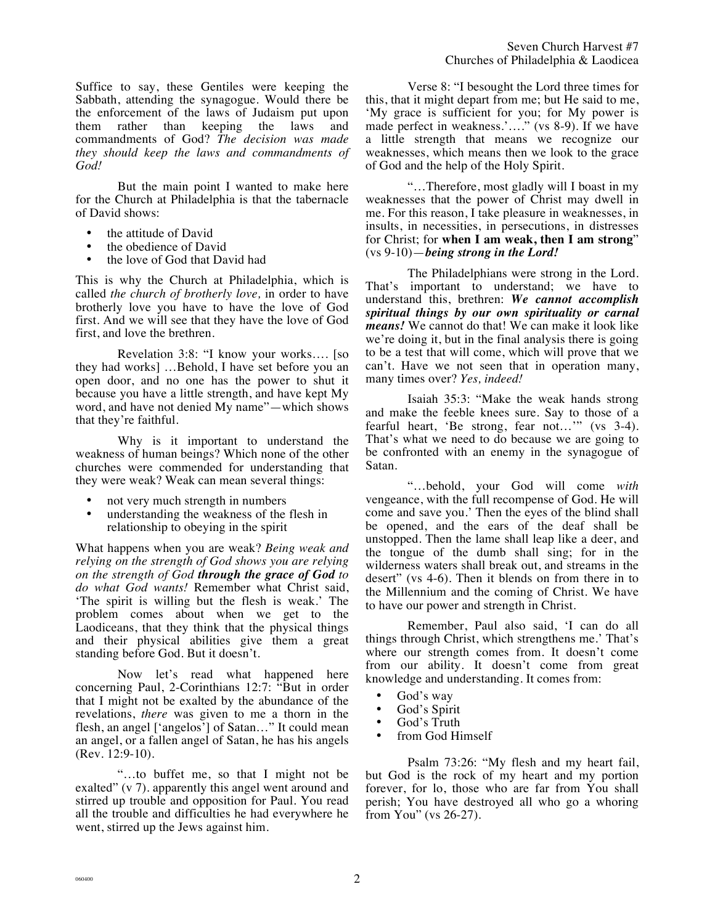But the main point I wanted to make here for the Church at Philadelphia is that the tabernacle of David shows:

- the attitude of David
- the obedience of David<br>• the love of God that Day
- the love of God that David had

This is why the Church at Philadelphia, which is called *the church of brotherly love,* in order to have brotherly love you have to have the love of God first. And we will see that they have the love of God first, and love the brethren.

Revelation 3:8: "I know your works…. [so they had works] …Behold, I have set before you an open door, and no one has the power to shut it because you have a little strength, and have kept My word, and have not denied My name"—which shows that they're faithful.

Why is it important to understand the weakness of human beings? Which none of the other churches were commended for understanding that they were weak? Weak can mean several things:

- not very much strength in numbers
- understanding the weakness of the flesh in relationship to obeying in the spirit

What happens when you are weak? *Being weak and relying on the strength of God shows you are relying on the strength of God through the grace of God to do what God wants!* Remember what Christ said, 'The spirit is willing but the flesh is weak.' The problem comes about when we get to the Laodiceans, that they think that the physical things and their physical abilities give them a great standing before God. But it doesn't.

Now let's read what happened here concerning Paul, 2-Corinthians 12:7: "But in order that I might not be exalted by the abundance of the revelations, *there* was given to me a thorn in the flesh, an angel ['angelos'] of Satan…" It could mean an angel, or a fallen angel of Satan, he has his angels (Rev. 12:9-10).

"…to buffet me, so that I might not be exalted" (v 7). apparently this angel went around and stirred up trouble and opposition for Paul. You read all the trouble and difficulties he had everywhere he went, stirred up the Jews against him.

Verse 8: "I besought the Lord three times for this, that it might depart from me; but He said to me, 'My grace is sufficient for you; for My power is made perfect in weakness.'...." (vs 8-9). If we have a little strength that means we recognize our weaknesses, which means then we look to the grace of God and the help of the Holy Spirit.

"…Therefore, most gladly will I boast in my weaknesses that the power of Christ may dwell in me. For this reason, I take pleasure in weaknesses, in insults, in necessities, in persecutions, in distresses for Christ; for **when I am weak, then I am strong**" (vs 9-10)—*being strong in the Lord!*

The Philadelphians were strong in the Lord. That's important to understand; we have to understand this, brethren: *We cannot accomplish spiritual things by our own spirituality or carnal means!* We cannot do that! We can make it look like we're doing it, but in the final analysis there is going to be a test that will come, which will prove that we can't. Have we not seen that in operation many, many times over? *Yes, indeed!* 

Isaiah 35:3: "Make the weak hands strong and make the feeble knees sure. Say to those of a fearful heart, 'Be strong, fear not…'" (vs 3-4). That's what we need to do because we are going to be confronted with an enemy in the synagogue of Satan.

"…behold, your God will come *with* vengeance, with the full recompense of God. He will come and save you.' Then the eyes of the blind shall be opened, and the ears of the deaf shall be unstopped. Then the lame shall leap like a deer, and the tongue of the dumb shall sing; for in the wilderness waters shall break out, and streams in the desert" (vs 4-6). Then it blends on from there in to the Millennium and the coming of Christ. We have to have our power and strength in Christ.

Remember, Paul also said, 'I can do all things through Christ, which strengthens me.' That's where our strength comes from. It doesn't come from our ability. It doesn't come from great knowledge and understanding. It comes from:

- God's way
- God's Spirit
- God's Truth
- from God Himself

Psalm 73:26: "My flesh and my heart fail, but God is the rock of my heart and my portion forever, for lo, those who are far from You shall perish; You have destroyed all who go a whoring from You" (vs 26-27).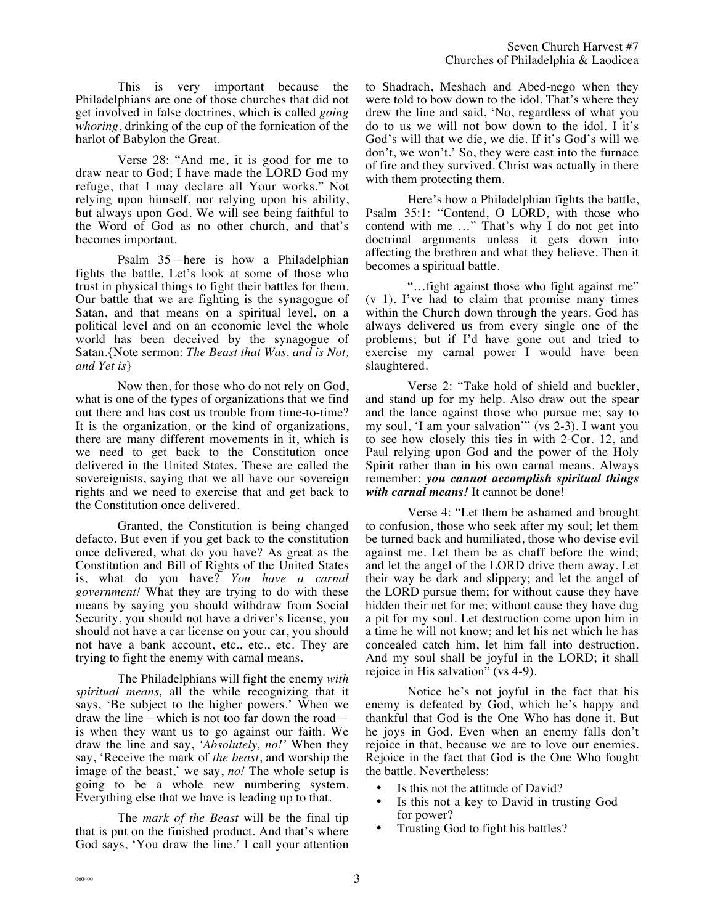This is very important because the Philadelphians are one of those churches that did not get involved in false doctrines, which is called *going whoring*, drinking of the cup of the fornication of the harlot of Babylon the Great.

Verse 28: "And me, it is good for me to draw near to God; I have made the LORD God my refuge, that I may declare all Your works." Not relying upon himself, nor relying upon his ability, but always upon God. We will see being faithful to the Word of God as no other church, and that's becomes important.

Psalm 35—here is how a Philadelphian fights the battle. Let's look at some of those who trust in physical things to fight their battles for them. Our battle that we are fighting is the synagogue of Satan, and that means on a spiritual level, on a political level and on an economic level the whole world has been deceived by the synagogue of Satan.{Note sermon: *The Beast that Was, and is Not, and Yet is*}

Now then, for those who do not rely on God, what is one of the types of organizations that we find out there and has cost us trouble from time-to-time? It is the organization, or the kind of organizations, there are many different movements in it, which is we need to get back to the Constitution once delivered in the United States. These are called the sovereignists, saying that we all have our sovereign rights and we need to exercise that and get back to the Constitution once delivered.

Granted, the Constitution is being changed defacto. But even if you get back to the constitution once delivered, what do you have? As great as the Constitution and Bill of Rights of the United States is, what do you have? *You have a carnal government!* What they are trying to do with these means by saying you should withdraw from Social Security, you should not have a driver's license, you should not have a car license on your car, you should not have a bank account, etc., etc., etc. They are trying to fight the enemy with carnal means.

The Philadelphians will fight the enemy *with spiritual means,* all the while recognizing that it says, 'Be subject to the higher powers.' When we draw the line—which is not too far down the road is when they want us to go against our faith. We draw the line and say, *'Absolutely, no!'* When they say, 'Receive the mark of *the beast*, and worship the image of the beast,' we say, *no!* The whole setup is going to be a whole new numbering system. Everything else that we have is leading up to that.

The *mark of the Beast* will be the final tip that is put on the finished product. And that's where God says, 'You draw the line.' I call your attention to Shadrach, Meshach and Abed-nego when they were told to bow down to the idol. That's where they drew the line and said, 'No, regardless of what you do to us we will not bow down to the idol. I it's God's will that we die, we die. If it's God's will we don't, we won't.' So, they were cast into the furnace of fire and they survived. Christ was actually in there with them protecting them.

Here's how a Philadelphian fights the battle, Psalm 35:1: "Contend, O LORD, with those who contend with me …" That's why I do not get into doctrinal arguments unless it gets down into affecting the brethren and what they believe. Then it becomes a spiritual battle.

"…fight against those who fight against me" (v 1). I've had to claim that promise many times within the Church down through the years. God has always delivered us from every single one of the problems; but if I'd have gone out and tried to exercise my carnal power I would have been slaughtered.

Verse 2: "Take hold of shield and buckler, and stand up for my help. Also draw out the spear and the lance against those who pursue me; say to my soul, 'I am your salvation'" (vs 2-3). I want you to see how closely this ties in with 2-Cor. 12, and Paul relying upon God and the power of the Holy Spirit rather than in his own carnal means. Always remember: *you cannot accomplish spiritual things with carnal means!* It cannot be done!

Verse 4: "Let them be ashamed and brought to confusion, those who seek after my soul; let them be turned back and humiliated, those who devise evil against me. Let them be as chaff before the wind; and let the angel of the LORD drive them away. Let their way be dark and slippery; and let the angel of the LORD pursue them; for without cause they have hidden their net for me; without cause they have dug a pit for my soul. Let destruction come upon him in a time he will not know; and let his net which he has concealed catch him, let him fall into destruction. And my soul shall be joyful in the LORD; it shall rejoice in His salvation" (vs 4-9).

Notice he's not joyful in the fact that his enemy is defeated by God, which he's happy and thankful that God is the One Who has done it. But he joys in God. Even when an enemy falls don't rejoice in that, because we are to love our enemies. Rejoice in the fact that God is the One Who fought the battle. Nevertheless:

- Is this not the attitude of David?<br>• Is this not a key to David in true
- Is this not a key to David in trusting God for power?
- Trusting God to fight his battles?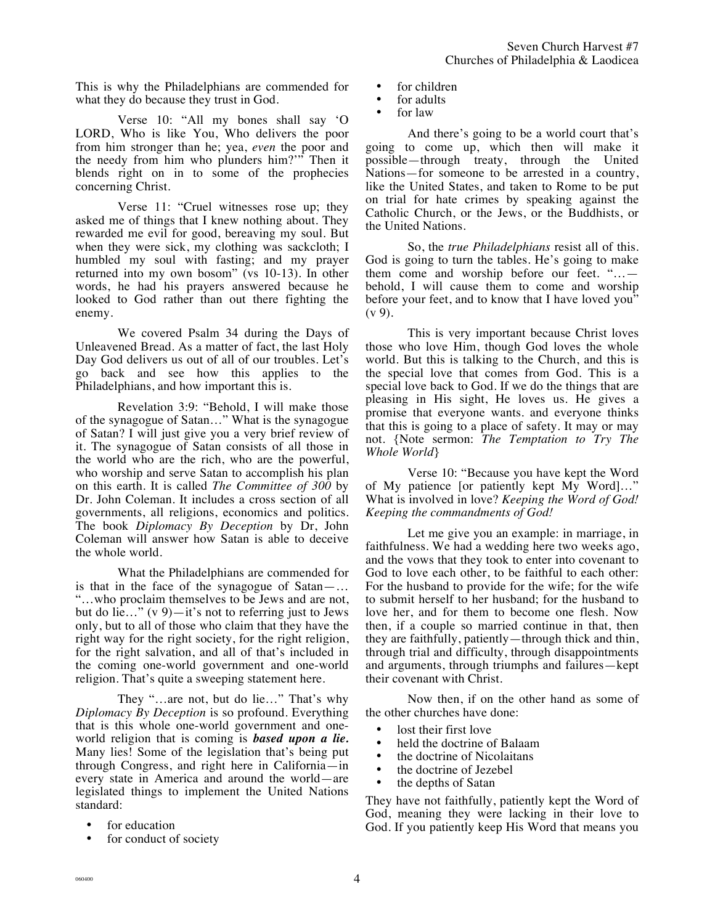This is why the Philadelphians are commended for what they do because they trust in God.

Verse 10: "All my bones shall say 'O LORD, Who is like You, Who delivers the poor from him stronger than he; yea, *even* the poor and the needy from him who plunders him?'" Then it blends right on in to some of the prophecies concerning Christ.

Verse 11: "Cruel witnesses rose up; they asked me of things that I knew nothing about. They rewarded me evil for good, bereaving my soul. But when they were sick, my clothing was sackcloth; I humbled my soul with fasting; and my prayer returned into my own bosom" (vs 10-13). In other words, he had his prayers answered because he looked to God rather than out there fighting the enemy.

We covered Psalm 34 during the Days of Unleavened Bread. As a matter of fact, the last Holy Day God delivers us out of all of our troubles. Let's go back and see how this applies to the Philadelphians, and how important this is.

Revelation 3:9: "Behold, I will make those of the synagogue of Satan…" What is the synagogue of Satan? I will just give you a very brief review of it. The synagogue of Satan consists of all those in the world who are the rich, who are the powerful, who worship and serve Satan to accomplish his plan on this earth. It is called *The Committee of 300* by Dr. John Coleman. It includes a cross section of all governments, all religions, economics and politics. The book *Diplomacy By Deception* by Dr, John Coleman will answer how Satan is able to deceive the whole world.

What the Philadelphians are commended for is that in the face of the synagogue of Satan—… "…who proclaim themselves to be Jews and are not, but do lie..."  $(v 9)$ —it's not to referring just to Jews only, but to all of those who claim that they have the right way for the right society, for the right religion, for the right salvation, and all of that's included in the coming one-world government and one-world religion. That's quite a sweeping statement here.

They "…are not, but do lie…" That's why *Diplomacy By Deception* is so profound. Everything that is this whole one-world government and oneworld religion that is coming is *based upon a lie.* Many lies! Some of the legislation that's being put through Congress, and right here in California—in every state in America and around the world—are legislated things to implement the United Nations standard:

- for education
- for conduct of society
- for children
- for adults<br>• for law
- for law

And there's going to be a world court that's going to come up, which then will make it possible—through treaty, through the United Nations—for someone to be arrested in a country, like the United States, and taken to Rome to be put on trial for hate crimes by speaking against the Catholic Church, or the Jews, or the Buddhists, or the United Nations.

So, the *true Philadelphians* resist all of this. God is going to turn the tables. He's going to make them come and worship before our feet. "… behold, I will cause them to come and worship before your feet, and to know that I have loved you"  $(v 9)$ .

This is very important because Christ loves those who love Him, though God loves the whole world. But this is talking to the Church, and this is the special love that comes from God. This is a special love back to God. If we do the things that are pleasing in His sight, He loves us. He gives a promise that everyone wants. and everyone thinks that this is going to a place of safety. It may or may not. {Note sermon: *The Temptation to Try The Whole World*}

Verse 10: "Because you have kept the Word of My patience [or patiently kept My Word]…" What is involved in love? *Keeping the Word of God! Keeping the commandments of God!*

Let me give you an example: in marriage, in faithfulness. We had a wedding here two weeks ago, and the vows that they took to enter into covenant to God to love each other, to be faithful to each other: For the husband to provide for the wife; for the wife to submit herself to her husband; for the husband to love her, and for them to become one flesh. Now then, if a couple so married continue in that, then they are faithfully, patiently—through thick and thin, through trial and difficulty, through disappointments and arguments, through triumphs and failures—kept their covenant with Christ.

Now then, if on the other hand as some of the other churches have done:

- lost their first love
- held the doctrine of Balaam<br>• the doctrine of Nicolaitans
- the doctrine of Nicolaitans<br>• the doctrine of Jezebel
- the doctrine of Jezebel
- the depths of Satan

They have not faithfully, patiently kept the Word of God, meaning they were lacking in their love to God. If you patiently keep His Word that means you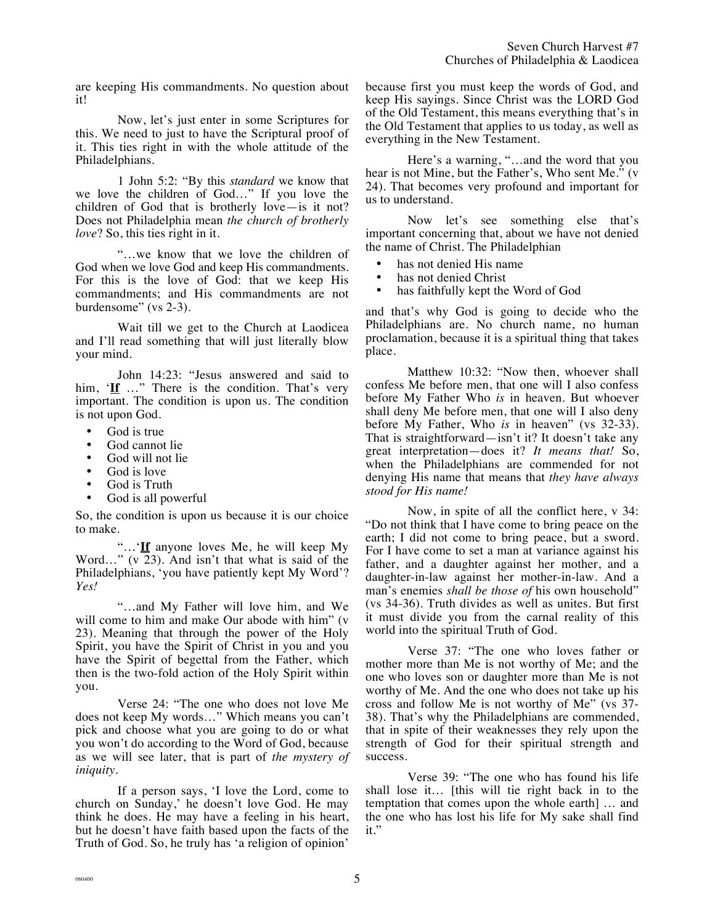are keeping His commandments. No question about it!

Now, let's just enter in some Scriptures for this. We need to just to have the Scriptural proof of it. This ties right in with the whole attitude of the Philadelphians.

1 John 5:2: "By this *standard* we know that we love the children of God…" If you love the children of God that is brotherly love—is it not? Does not Philadelphia mean *the church of brotherly love*? So, this ties right in it.

"…we know that we love the children of God when we love God and keep His commandments. For this is the love of God: that we keep His commandments; and His commandments are not burdensome" (vs 2-3).

Wait till we get to the Church at Laodicea and I'll read something that will just literally blow your mind.

John 14:23: "Jesus answered and said to him, 'If ..." There is the condition. That's very important. The condition is upon us. The condition is not upon God.

- God is true
- God cannot lie
- God will not lie
- God is love
- God is Truth
- God is all powerful

So, the condition is upon us because it is our choice to make.

"…'**If** anyone loves Me, he will keep My Word…" (v 23). And isn't that what is said of the Philadelphians, 'you have patiently kept My Word'? *Yes!*

"…and My Father will love him, and We will come to him and make Our abode with him" (v 23). Meaning that through the power of the Holy Spirit, you have the Spirit of Christ in you and you have the Spirit of begettal from the Father, which then is the two-fold action of the Holy Spirit within you.

Verse 24: "The one who does not love Me does not keep My words…" Which means you can't pick and choose what you are going to do or what you won't do according to the Word of God, because as we will see later, that is part of *the mystery of iniquity.* 

If a person says, 'I love the Lord, come to church on Sunday,' he doesn't love God. He may think he does. He may have a feeling in his heart, but he doesn't have faith based upon the facts of the Truth of God. So, he truly has 'a religion of opinion'

because first you must keep the words of God, and keep His sayings. Since Christ was the LORD God of the Old Testament, this means everything that's in the Old Testament that applies to us today, as well as everything in the New Testament.

Here's a warning, "…and the word that you hear is not Mine, but the Father's, Who sent Me." (v 24). That becomes very profound and important for us to understand.

Now let's see something else that's important concerning that, about we have not denied the name of Christ. The Philadelphian

- has not denied His name<br>• has not denied Christ
- has not denied Christ<br>• has faithfully kept the
- has faithfully kept the Word of God

and that's why God is going to decide who the Philadelphians are. No church name, no human proclamation, because it is a spiritual thing that takes place.

Matthew 10:32: "Now then, whoever shall confess Me before men, that one will I also confess before My Father Who *is* in heaven. But whoever shall deny Me before men, that one will I also deny before My Father, Who *is* in heaven" (vs 32-33). That is straightforward—isn't it? It doesn't take any great interpretation—does it? *It means that!* So, when the Philadelphians are commended for not denying His name that means that *they have always stood for His name!* 

Now, in spite of all the conflict here, v 34: "Do not think that I have come to bring peace on the earth; I did not come to bring peace, but a sword. For I have come to set a man at variance against his father, and a daughter against her mother, and a daughter-in-law against her mother-in-law. And a man's enemies *shall be those of* his own household" (vs 34-36). Truth divides as well as unites. But first it must divide you from the carnal reality of this world into the spiritual Truth of God.

Verse 37: "The one who loves father or mother more than Me is not worthy of Me; and the one who loves son or daughter more than Me is not worthy of Me. And the one who does not take up his cross and follow Me is not worthy of Me" (vs 37- 38). That's why the Philadelphians are commended, that in spite of their weaknesses they rely upon the strength of God for their spiritual strength and success.

Verse 39: "The one who has found his life shall lose it… [this will tie right back in to the temptation that comes upon the whole earth] … and the one who has lost his life for My sake shall find it."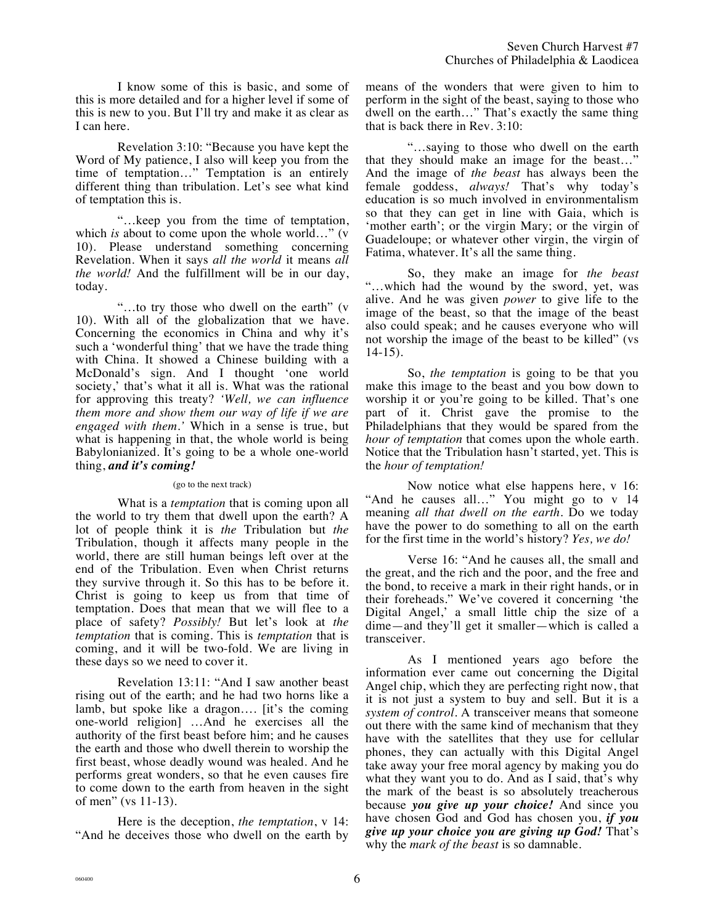I know some of this is basic, and some of this is more detailed and for a higher level if some of this is new to you. But I'll try and make it as clear as I can here.

Revelation 3:10: "Because you have kept the Word of My patience, I also will keep you from the time of temptation…" Temptation is an entirely different thing than tribulation. Let's see what kind of temptation this is.

"…keep you from the time of temptation, which *is* about to come upon the whole world..." (v 10). Please understand something concerning Revelation. When it says *all the world* it means *all the world!* And the fulfillment will be in our day, today.

"…to try those who dwell on the earth" (v 10). With all of the globalization that we have. Concerning the economics in China and why it's such a 'wonderful thing' that we have the trade thing with China. It showed a Chinese building with a McDonald's sign. And I thought 'one world society,' that's what it all is. What was the rational for approving this treaty? *'Well, we can influence them more and show them our way of life if we are engaged with them.'* Which in a sense is true, but what is happening in that, the whole world is being Babylonianized. It's going to be a whole one-world thing, *and it's coming!*

#### (go to the next track)

What is a *temptation* that is coming upon all the world to try them that dwell upon the earth? A lot of people think it is *the* Tribulation but *the* Tribulation, though it affects many people in the world, there are still human beings left over at the end of the Tribulation. Even when Christ returns they survive through it. So this has to be before it. Christ is going to keep us from that time of temptation. Does that mean that we will flee to a place of safety? *Possibly!* But let's look at *the temptation* that is coming. This is *temptation* that is coming, and it will be two-fold. We are living in these days so we need to cover it.

Revelation 13:11: "And I saw another beast rising out of the earth; and he had two horns like a lamb, but spoke like a dragon…. [it's the coming one-world religion] …And he exercises all the authority of the first beast before him; and he causes the earth and those who dwell therein to worship the first beast, whose deadly wound was healed. And he performs great wonders, so that he even causes fire to come down to the earth from heaven in the sight of men" (vs 11-13).

Here is the deception, *the temptation*, v 14: "And he deceives those who dwell on the earth by

means of the wonders that were given to him to perform in the sight of the beast, saying to those who dwell on the earth…" That's exactly the same thing that is back there in Rev. 3:10:

"…saying to those who dwell on the earth that they should make an image for the beast…" And the image of *the beast* has always been the female goddess, *always!* That's why today's education is so much involved in environmentalism so that they can get in line with Gaia, which is 'mother earth'; or the virgin Mary; or the virgin of Guadeloupe; or whatever other virgin, the virgin of Fatima, whatever. It's all the same thing.

So, they make an image for *the beast* "…which had the wound by the sword, yet, was alive. And he was given *power* to give life to the image of the beast, so that the image of the beast also could speak; and he causes everyone who will not worship the image of the beast to be killed" (vs 14-15).

So, *the temptation* is going to be that you make this image to the beast and you bow down to worship it or you're going to be killed. That's one part of it. Christ gave the promise to the Philadelphians that they would be spared from the *hour of temptation* that comes upon the whole earth. Notice that the Tribulation hasn't started, yet. This is the *hour of temptation!*

Now notice what else happens here, v 16: "And he causes all…" You might go to v 14 meaning *all that dwell on the earth*. Do we today have the power to do something to all on the earth for the first time in the world's history? *Yes, we do!*

Verse 16: "And he causes all, the small and the great, and the rich and the poor, and the free and the bond, to receive a mark in their right hands, or in their foreheads." We've covered it concerning 'the Digital Angel,' a small little chip the size of a dime—and they'll get it smaller—which is called a transceiver.

As I mentioned years ago before the information ever came out concerning the Digital Angel chip, which they are perfecting right now, that it is not just a system to buy and sell. But it is a *system of control.* A transceiver means that someone out there with the same kind of mechanism that they have with the satellites that they use for cellular phones, they can actually with this Digital Angel take away your free moral agency by making you do what they want you to do. And as I said, that's why the mark of the beast is so absolutely treacherous because *you give up your choice!* And since you have chosen God and God has chosen you, *if you give up your choice you are giving up God!* That's why the *mark of the beast* is so damnable.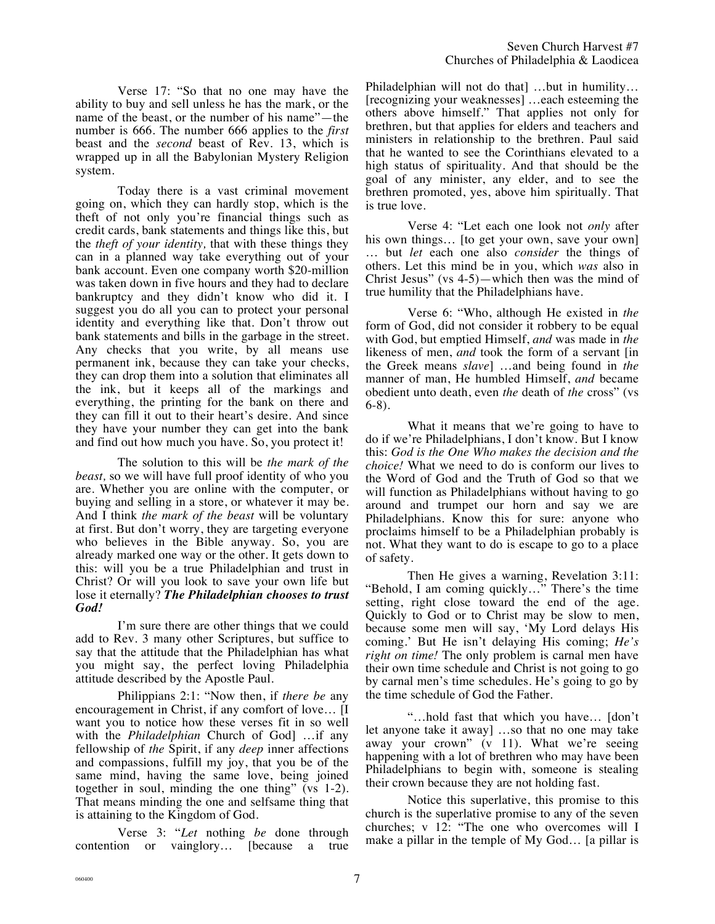Verse 17: "So that no one may have the ability to buy and sell unless he has the mark, or the name of the beast, or the number of his name"—the number is 666. The number 666 applies to the *first* beast and the *second* beast of Rev. 13, which is wrapped up in all the Babylonian Mystery Religion system.

Today there is a vast criminal movement going on, which they can hardly stop, which is the theft of not only you're financial things such as credit cards, bank statements and things like this, but the *theft of your identity,* that with these things they can in a planned way take everything out of your bank account. Even one company worth \$20-million was taken down in five hours and they had to declare bankruptcy and they didn't know who did it. I suggest you do all you can to protect your personal identity and everything like that. Don't throw out bank statements and bills in the garbage in the street. Any checks that you write, by all means use permanent ink, because they can take your checks, they can drop them into a solution that eliminates all the ink, but it keeps all of the markings and everything, the printing for the bank on there and they can fill it out to their heart's desire. And since they have your number they can get into the bank and find out how much you have. So, you protect it!

The solution to this will be *the mark of the beast,* so we will have full proof identity of who you are. Whether you are online with the computer, or buying and selling in a store, or whatever it may be. And I think *the mark of the beast* will be voluntary at first. But don't worry, they are targeting everyone who believes in the Bible anyway. So, you are already marked one way or the other. It gets down to this: will you be a true Philadelphian and trust in Christ? Or will you look to save your own life but lose it eternally? *The Philadelphian chooses to trust God!*

I'm sure there are other things that we could add to Rev. 3 many other Scriptures, but suffice to say that the attitude that the Philadelphian has what you might say, the perfect loving Philadelphia attitude described by the Apostle Paul.

Philippians 2:1: "Now then, if *there be* any encouragement in Christ, if any comfort of love… [I want you to notice how these verses fit in so well with the *Philadelphian* Church of God] …if any fellowship of *the* Spirit, if any *deep* inner affections and compassions, fulfill my joy, that you be of the same mind, having the same love, being joined together in soul, minding the one thing" (vs 1-2). That means minding the one and selfsame thing that is attaining to the Kingdom of God.

Verse 3: "*Let* nothing *be* done through contention or vainglory… [because a true

Philadelphian will not do that] …but in humility… [recognizing your weaknesses] …each esteeming the others above himself." That applies not only for brethren, but that applies for elders and teachers and ministers in relationship to the brethren. Paul said that he wanted to see the Corinthians elevated to a high status of spirituality. And that should be the goal of any minister, any elder, and to see the brethren promoted, yes, above him spiritually. That is true love.

Verse 4: "Let each one look not *only* after his own things... [to get your own, save your own] … but *let* each one also *consider* the things of others. Let this mind be in you, which *was* also in Christ Jesus" (vs 4-5)—which then was the mind of true humility that the Philadelphians have.

Verse 6: "Who, although He existed in *the* form of God, did not consider it robbery to be equal with God, but emptied Himself, *and* was made in *the* likeness of men, *and* took the form of a servant [in the Greek means *slave*] …and being found in *the* manner of man, He humbled Himself, *and* became obedient unto death, even *the* death of *the* cross" (vs 6-8).

What it means that we're going to have to do if we're Philadelphians, I don't know. But I know this: *God is the One Who makes the decision and the choice!* What we need to do is conform our lives to the Word of God and the Truth of God so that we will function as Philadelphians without having to go around and trumpet our horn and say we are Philadelphians. Know this for sure: anyone who proclaims himself to be a Philadelphian probably is not. What they want to do is escape to go to a place of safety.

Then He gives a warning, Revelation 3:11: "Behold, I am coming quickly…" There's the time setting, right close toward the end of the age. Quickly to God or to Christ may be slow to men, because some men will say, 'My Lord delays His coming.' But He isn't delaying His coming; *He's right on time!* The only problem is carnal men have their own time schedule and Christ is not going to go by carnal men's time schedules. He's going to go by the time schedule of God the Father.

"…hold fast that which you have… [don't let anyone take it away] …so that no one may take away your crown" (v 11). What we're seeing happening with a lot of brethren who may have been Philadelphians to begin with, someone is stealing their crown because they are not holding fast.

Notice this superlative, this promise to this church is the superlative promise to any of the seven churches; v 12: "The one who overcomes will I make a pillar in the temple of My God… [a pillar is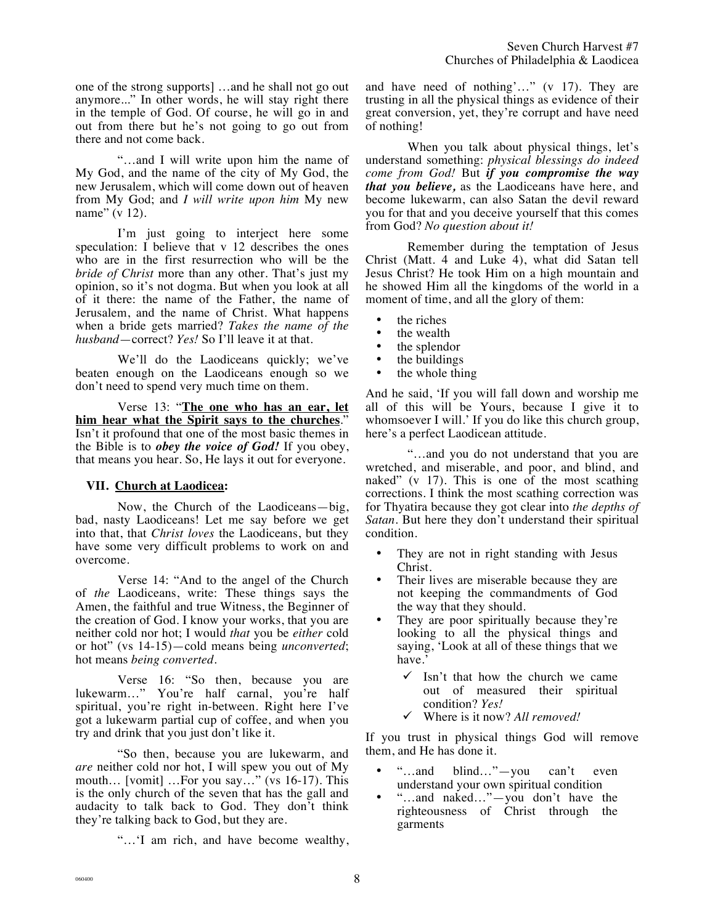one of the strong supports] …and he shall not go out anymore..." In other words, he will stay right there in the temple of God. Of course, he will go in and out from there but he's not going to go out from there and not come back.

"…and I will write upon him the name of My God, and the name of the city of My God, the new Jerusalem, which will come down out of heaven from My God; and *I will write upon him* My new name" (v 12).

I'm just going to interject here some speculation: I believe that v 12 describes the ones who are in the first resurrection who will be the *bride of Christ* more than any other. That's just my opinion, so it's not dogma. But when you look at all of it there: the name of the Father, the name of Jerusalem, and the name of Christ. What happens when a bride gets married? *Takes the name of the husband*—correct? *Yes!* So I'll leave it at that.

We'll do the Laodiceans quickly; we've beaten enough on the Laodiceans enough so we don't need to spend very much time on them.

Verse 13: "**The one who has an ear, let him hear what the Spirit says to the churches**." Isn't it profound that one of the most basic themes in the Bible is to *obey the voice of God!* If you obey, that means you hear. So, He lays it out for everyone.

## **VII. Church at Laodicea:**

Now, the Church of the Laodiceans—big, bad, nasty Laodiceans! Let me say before we get into that, that *Christ loves* the Laodiceans, but they have some very difficult problems to work on and overcome.

Verse 14: "And to the angel of the Church of *the* Laodiceans, write: These things says the Amen, the faithful and true Witness, the Beginner of the creation of God. I know your works, that you are neither cold nor hot; I would *that* you be *either* cold or hot" (vs 14-15)—cold means being *unconverted*; hot means *being converted*.

Verse 16: "So then, because you are lukewarm…" You're half carnal, you're half spiritual, you're right in-between. Right here I've got a lukewarm partial cup of coffee, and when you try and drink that you just don't like it.

"So then, because you are lukewarm, and *are* neither cold nor hot, I will spew you out of My mouth… [vomit] …For you say…" (vs 16-17). This is the only church of the seven that has the gall and audacity to talk back to God. They don't think they're talking back to God, but they are.

"…'I am rich, and have become wealthy,

and have need of nothing'…" (v 17). They are trusting in all the physical things as evidence of their great conversion, yet, they're corrupt and have need of nothing!

When you talk about physical things, let's understand something: *physical blessings do indeed come from God!* But *if you compromise the way that you believe,* as the Laodiceans have here, and become lukewarm, can also Satan the devil reward you for that and you deceive yourself that this comes from God? *No question about it!*

Remember during the temptation of Jesus Christ (Matt. 4 and Luke 4), what did Satan tell Jesus Christ? He took Him on a high mountain and he showed Him all the kingdoms of the world in a moment of time, and all the glory of them:

- the riches
- the wealth<br>• the splende
- the splendor
- the buildings<br>• the whole thi
- the whole thing

And he said, 'If you will fall down and worship me all of this will be Yours, because I give it to whomsoever I will.' If you do like this church group, here's a perfect Laodicean attitude.

"…and you do not understand that you are wretched, and miserable, and poor, and blind, and naked" (v 17). This is one of the most scathing corrections. I think the most scathing correction was for Thyatira because they got clear into *the depths of Satan*. But here they don't understand their spiritual condition.

- They are not in right standing with Jesus Christ.
- Their lives are miserable because they are not keeping the commandments of God the way that they should.
- They are poor spiritually because they're looking to all the physical things and saying, 'Look at all of these things that we have.'
	- $\checkmark$  Isn't that how the church we came out of measured their spiritual condition? *Yes!*
	- ! Where is it now? *All removed!*

If you trust in physical things God will remove them, and He has done it.

- "...and blind..."—you can't even understand your own spiritual condition
- "…and naked…"—you don't have the righteousness of Christ through the garments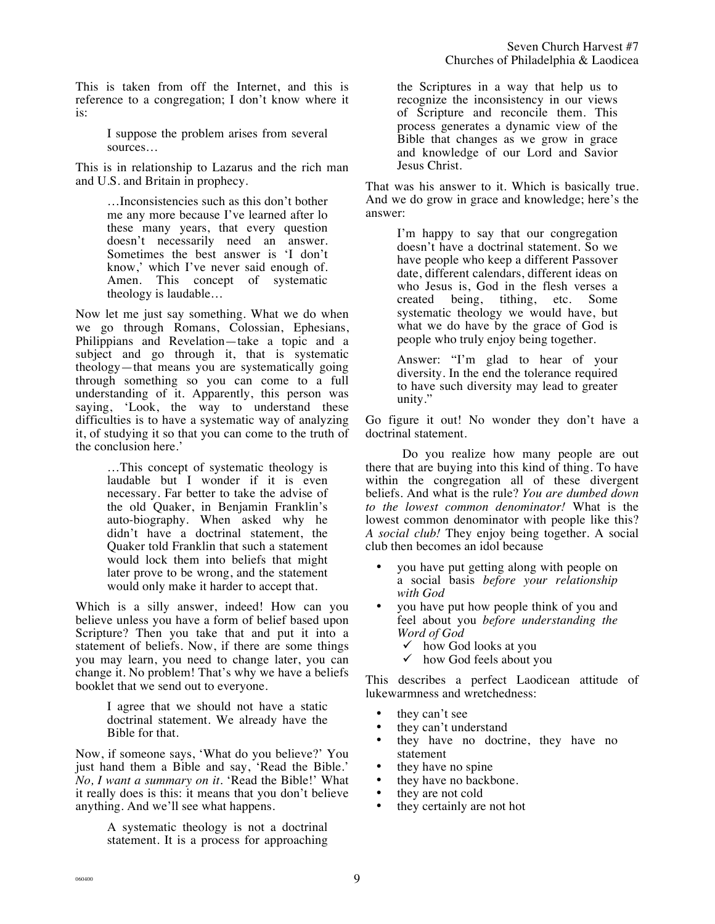This is taken from off the Internet, and this is reference to a congregation; I don't know where it is:

> I suppose the problem arises from several sources…

This is in relationship to Lazarus and the rich man and U.S. and Britain in prophecy.

> …Inconsistencies such as this don't bother me any more because I've learned after lo these many years, that every question doesn't necessarily need an answer. Sometimes the best answer is 'I don't know,' which I've never said enough of. Amen. This concept of systematic theology is laudable…

Now let me just say something. What we do when we go through Romans, Colossian, Ephesians, Philippians and Revelation—take a topic and a subject and go through it, that is systematic theology—that means you are systematically going through something so you can come to a full understanding of it. Apparently, this person was saying, 'Look, the way to understand these difficulties is to have a systematic way of analyzing it, of studying it so that you can come to the truth of the conclusion here.'

> …This concept of systematic theology is laudable but I wonder if it is even necessary. Far better to take the advise of the old Quaker, in Benjamin Franklin's auto-biography. When asked why he didn't have a doctrinal statement, the Quaker told Franklin that such a statement would lock them into beliefs that might later prove to be wrong, and the statement would only make it harder to accept that.

Which is a silly answer, indeed! How can you believe unless you have a form of belief based upon Scripture? Then you take that and put it into a statement of beliefs. Now, if there are some things you may learn, you need to change later, you can change it. No problem! That's why we have a beliefs booklet that we send out to everyone.

> I agree that we should not have a static doctrinal statement. We already have the Bible for that.

Now, if someone says, 'What do you believe?' You just hand them a Bible and say, 'Read the Bible.' *No, I want a summary on it.* 'Read the Bible!' What it really does is this: it means that you don't believe anything. And we'll see what happens.

> A systematic theology is not a doctrinal statement. It is a process for approaching

the Scriptures in a way that help us to recognize the inconsistency in our views of Scripture and reconcile them. This process generates a dynamic view of the Bible that changes as we grow in grace and knowledge of our Lord and Savior Jesus Christ.

That was his answer to it. Which is basically true. And we do grow in grace and knowledge; here's the answer:

> I'm happy to say that our congregation doesn't have a doctrinal statement. So we have people who keep a different Passover date, different calendars, different ideas on who Jesus is, God in the flesh verses a created being, tithing, etc. Some systematic theology we would have, but what we do have by the grace of God is people who truly enjoy being together.

> Answer: "I'm glad to hear of your diversity. In the end the tolerance required to have such diversity may lead to greater unity."

Go figure it out! No wonder they don't have a doctrinal statement.

Do you realize how many people are out there that are buying into this kind of thing. To have within the congregation all of these divergent beliefs. And what is the rule? *You are dumbed down to the lowest common denominator!* What is the lowest common denominator with people like this? *A social club!* They enjoy being together. A social club then becomes an idol because

- you have put getting along with people on a social basis *before your relationship with God*
- you have put how people think of you and feel about you *before understanding the Word of God*
	- $\checkmark$  how God looks at you
	- $\checkmark$  how God feels about you

This describes a perfect Laodicean attitude of lukewarmness and wretchedness:

- they can't see
- they can't understand<br>• they have no doctr
- they have no doctrine, they have no statement
- they have no spine
- they have no backbone.<br>• they are not cold
- they are not cold
- they certainly are not hot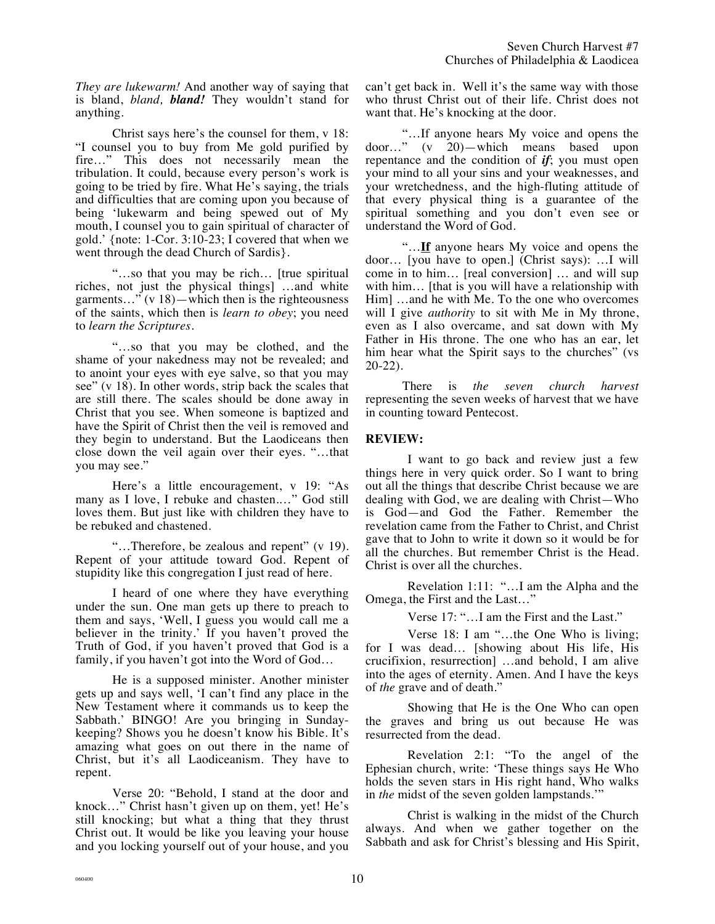*They are lukewarm!* And another way of saying that is bland, *bland, bland!* They wouldn't stand for anything.

Christ says here's the counsel for them, v 18: "I counsel you to buy from Me gold purified by fire…" This does not necessarily mean the tribulation. It could, because every person's work is going to be tried by fire. What He's saying, the trials and difficulties that are coming upon you because of being 'lukewarm and being spewed out of My mouth, I counsel you to gain spiritual of character of gold.' {note: 1-Cor. 3:10-23; I covered that when we went through the dead Church of Sardis}.

"…so that you may be rich… [true spiritual riches, not just the physical things] …and white garments…" (v 18)—which then is the righteousness of the saints, which then is *learn to obey*; you need to *learn the Scriptures*.

"…so that you may be clothed, and the shame of your nakedness may not be revealed; and to anoint your eyes with eye salve, so that you may see" (v 18). In other words, strip back the scales that are still there. The scales should be done away in Christ that you see. When someone is baptized and have the Spirit of Christ then the veil is removed and they begin to understand. But the Laodiceans then close down the veil again over their eyes. "…that you may see."

Here's a little encouragement, v 19: "As many as I love, I rebuke and chasten.…" God still loves them. But just like with children they have to be rebuked and chastened.

"…Therefore, be zealous and repent" (v 19). Repent of your attitude toward God. Repent of stupidity like this congregation I just read of here.

I heard of one where they have everything under the sun. One man gets up there to preach to them and says, 'Well, I guess you would call me a believer in the trinity.' If you haven't proved the Truth of God, if you haven't proved that God is a family, if you haven't got into the Word of God…

He is a supposed minister. Another minister gets up and says well, 'I can't find any place in the New Testament where it commands us to keep the Sabbath.' BINGO! Are you bringing in Sundaykeeping? Shows you he doesn't know his Bible. It's amazing what goes on out there in the name of Christ, but it's all Laodiceanism. They have to repent.

Verse 20: "Behold, I stand at the door and knock…" Christ hasn't given up on them, yet! He's still knocking; but what a thing that they thrust Christ out. It would be like you leaving your house and you locking yourself out of your house, and you can't get back in. Well it's the same way with those who thrust Christ out of their life. Christ does not want that. He's knocking at the door.

"…If anyone hears My voice and opens the door…" (v 20)—which means based upon repentance and the condition of *if*; you must open your mind to all your sins and your weaknesses, and your wretchedness, and the high-fluting attitude of that every physical thing is a guarantee of the spiritual something and you don't even see or understand the Word of God.

"…**If** anyone hears My voice and opens the door… [you have to open.] (Christ says): …I will come in to him… [real conversion] … and will sup with him... [that is you will have a relationship with Him] …and he with Me. To the one who overcomes will I give *authority* to sit with Me in My throne, even as I also overcame, and sat down with My Father in His throne. The one who has an ear, let him hear what the Spirit says to the churches" (vs 20-22).

There is *the seven church harvest* representing the seven weeks of harvest that we have in counting toward Pentecost.

### **REVIEW:**

I want to go back and review just a few things here in very quick order. So I want to bring out all the things that describe Christ because we are dealing with God, we are dealing with Christ—Who is God—and God the Father. Remember the revelation came from the Father to Christ, and Christ gave that to John to write it down so it would be for all the churches. But remember Christ is the Head. Christ is over all the churches.

Revelation 1:11: "…I am the Alpha and the Omega, the First and the Last…"

Verse 17: "…I am the First and the Last."

Verse 18: I am "…the One Who is living; for I was dead… [showing about His life, His crucifixion, resurrection] …and behold, I am alive into the ages of eternity. Amen. And I have the keys of *the* grave and of death."

Showing that He is the One Who can open the graves and bring us out because He was resurrected from the dead.

Revelation 2:1: "To the angel of the Ephesian church, write: 'These things says He Who holds the seven stars in His right hand, Who walks in *the* midst of the seven golden lampstands.'"

Christ is walking in the midst of the Church always. And when we gather together on the Sabbath and ask for Christ's blessing and His Spirit,